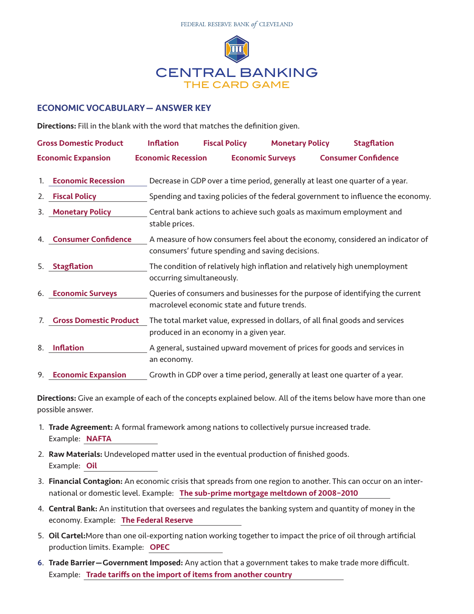

## ECONOMIC VOCABULARY— ANSWER KEY

Directions: Fill in the blank with the word that matches the definition given.

| <b>Gross Domestic Product</b><br><b>Economic Expansion</b> |                               | <b>Inflation</b>                                                                                                                  | <b>Fiscal Policy</b>                                                             | <b>Monetary Policy</b> |                            | <b>Stagflation</b> |  |  |
|------------------------------------------------------------|-------------------------------|-----------------------------------------------------------------------------------------------------------------------------------|----------------------------------------------------------------------------------|------------------------|----------------------------|--------------------|--|--|
|                                                            |                               | <b>Economic Recession</b>                                                                                                         | <b>Economic Surveys</b>                                                          |                        | <b>Consumer Confidence</b> |                    |  |  |
| 1.                                                         | <b>Economic Recession</b>     | Decrease in GDP over a time period, generally at least one quarter of a year.                                                     |                                                                                  |                        |                            |                    |  |  |
| 2.                                                         | <b>Fiscal Policy</b>          |                                                                                                                                   | Spending and taxing policies of the federal government to influence the economy. |                        |                            |                    |  |  |
| 3.                                                         | <b>Monetary Policy</b>        | stable prices.                                                                                                                    | Central bank actions to achieve such goals as maximum employment and             |                        |                            |                    |  |  |
| 4.                                                         | <b>Consumer Confidence</b>    | A measure of how consumers feel about the economy, considered an indicator of<br>consumers' future spending and saving decisions. |                                                                                  |                        |                            |                    |  |  |
| 5.                                                         | <b>Stagflation</b>            | The condition of relatively high inflation and relatively high unemployment<br>occurring simultaneously.                          |                                                                                  |                        |                            |                    |  |  |
| 6.                                                         | <b>Economic Surveys</b>       | Queries of consumers and businesses for the purpose of identifying the current<br>macrolevel economic state and future trends.    |                                                                                  |                        |                            |                    |  |  |
| 7.                                                         | <b>Gross Domestic Product</b> | The total market value, expressed in dollars, of all final goods and services<br>produced in an economy in a given year.          |                                                                                  |                        |                            |                    |  |  |
| 8.                                                         | <b>Inflation</b>              | A general, sustained upward movement of prices for goods and services in<br>an economy.                                           |                                                                                  |                        |                            |                    |  |  |
| 9.                                                         | <b>Economic Expansion</b>     | Growth in GDP over a time period, generally at least one quarter of a year.                                                       |                                                                                  |                        |                            |                    |  |  |

Directions: Give an example of each of the concepts explained below. All of the items below have more than one possible answer.

- 1. Trade Agreement: A formal framework among nations to collectively pursue increased trade. Example: NAFTA
- 2. Raw Materials: Undeveloped matter used in the eventual production of finished goods. Example: Oil
- 3. Financial Contagion: An economic crisis that spreads from one region to another. This can occur on an international or domestic level. Example: The sub-prime mortgage meltdown of 2008-2010
- 4. Central Bank: An institution that oversees and regulates the banking system and quantity of money in the economy. Example: The Federal Reserve
- 5. Oil Cartel:More than one oil-exporting nation working together to impact the price of oil through artificial production limits. Example: OPEC
- 6. Trade Barrier—Government Imposed: Any action that a government takes to make trade more difficult. Example: Trade tariffs on the import of items from another country